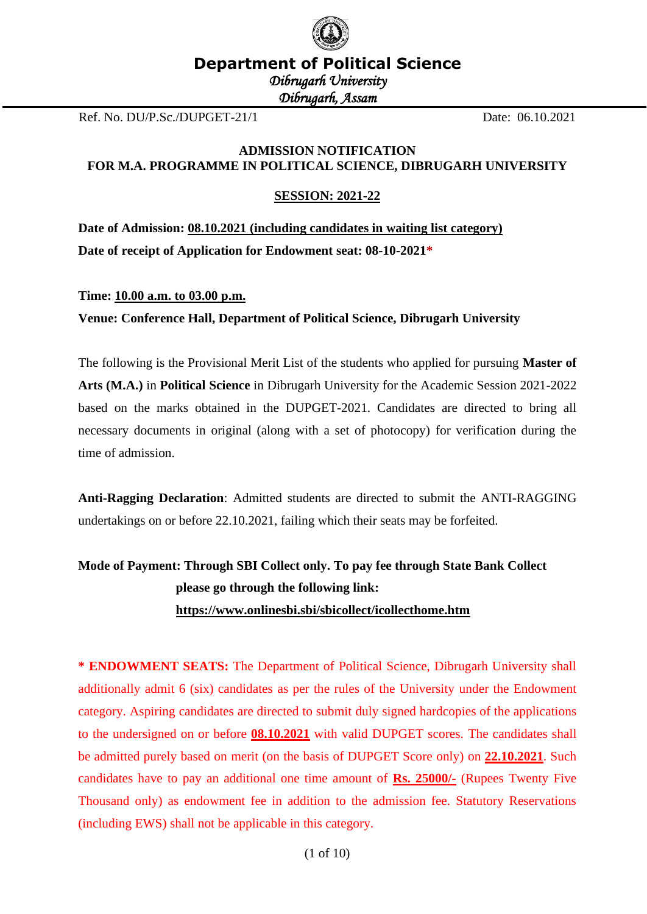

*Dibrugarh University Dibrugarh, Assam* 

Ref. No. DU/P.Sc./DUPGET-21/1 Date: 06.10.2021

### **ADMISSION NOTIFICATION FOR M.A. PROGRAMME IN POLITICAL SCIENCE, DIBRUGARH UNIVERSITY**

## **SESSION: 2021-22**

**Date of Admission: 08.10.2021 (including candidates in waiting list category) Date of receipt of Application for Endowment seat: 08-10-2021\***

**Time: 10.00 a.m. to 03.00 p.m. Venue: Conference Hall, Department of Political Science, Dibrugarh University**

The following is the Provisional Merit List of the students who applied for pursuing **Master of Arts (M.A.)** in **Political Science** in Dibrugarh University for the Academic Session 2021-2022 based on the marks obtained in the DUPGET-2021. Candidates are directed to bring all necessary documents in original (along with a set of photocopy) for verification during the time of admission.

**Anti-Ragging Declaration**: Admitted students are directed to submit the ANTI-RAGGING undertakings on or before 22.10.2021, failing which their seats may be forfeited.

# **Mode of Payment: Through SBI Collect only. To pay fee through State Bank Collect please go through the following link: <https://www.onlinesbi.sbi/sbicollect/icollecthome.htm>**

**\* ENDOWMENT SEATS:** The Department of Political Science, Dibrugarh University shall additionally admit 6 (six) candidates as per the rules of the University under the Endowment category. Aspiring candidates are directed to submit duly signed hardcopies of the applications to the undersigned on or before **08.10.2021** with valid DUPGET scores. The candidates shall be admitted purely based on merit (on the basis of DUPGET Score only) on **22.10.2021**. Such candidates have to pay an additional one time amount of **Rs. 25000/-** (Rupees Twenty Five Thousand only) as endowment fee in addition to the admission fee. Statutory Reservations (including EWS) shall not be applicable in this category.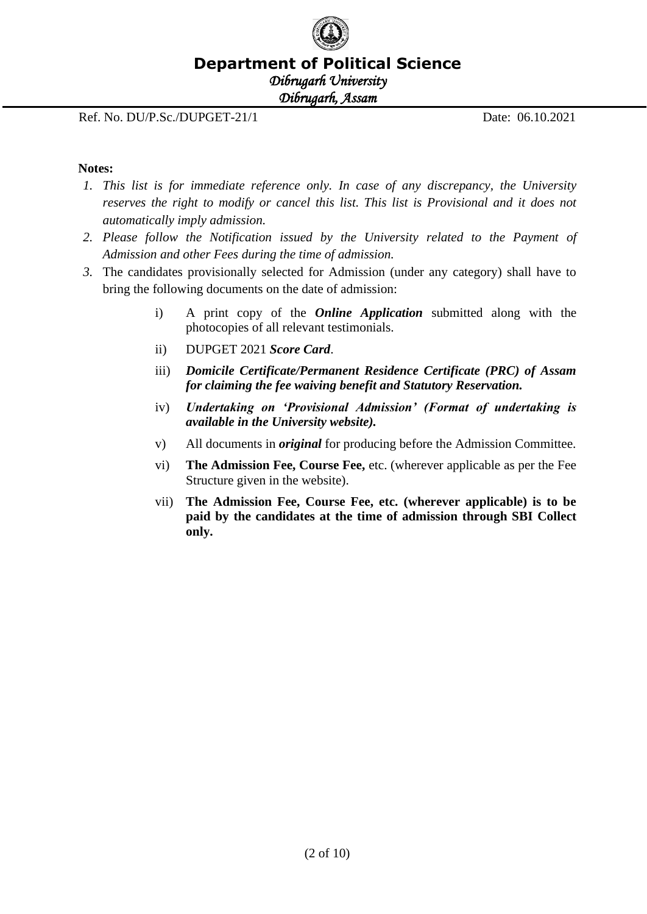

*Dibrugarh University* 

*Dibrugarh, Assam* 

Ref. No. DU/P.Sc./DUPGET-21/1 Date: 06.10.2021

### **Notes:**

- *1. This list is for immediate reference only. In case of any discrepancy, the University reserves the right to modify or cancel this list. This list is Provisional and it does not automatically imply admission.*
- *2. Please follow the Notification issued by the University related to the Payment of Admission and other Fees during the time of admission.*
- *3.* The candidates provisionally selected for Admission (under any category) shall have to bring the following documents on the date of admission:
	- i) A print copy of the *Online Application* submitted along with the photocopies of all relevant testimonials.
	- ii) DUPGET 2021 *Score Card*.
	- iii) *Domicile Certificate/Permanent Residence Certificate (PRC) of Assam for claiming the fee waiving benefit and Statutory Reservation.*
	- iv) *Undertaking on 'Provisional Admission' (Format of undertaking is available in the University website).*
	- v) All documents in *original* for producing before the Admission Committee.
	- vi) **The Admission Fee, Course Fee,** etc. (wherever applicable as per the Fee Structure given in the website).
	- vii) **The Admission Fee, Course Fee, etc. (wherever applicable) is to be paid by the candidates at the time of admission through SBI Collect only.**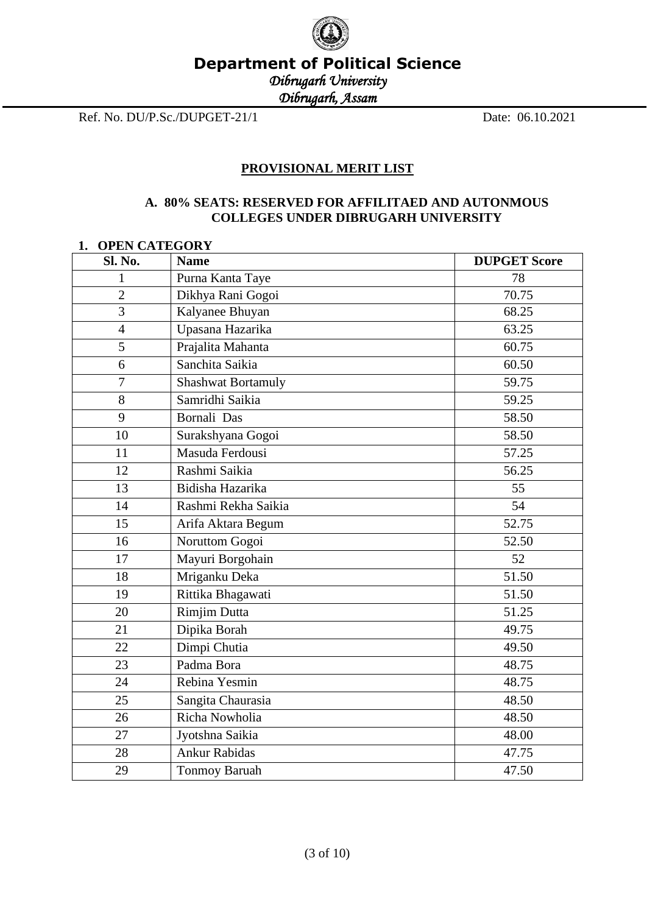

*Dibrugarh University* 

*Dibrugarh, Assam* 

Ref. No. DU/P.Sc./DUPGET-21/1 Date: 06.10.2021

### **PROVISIONAL MERIT LIST**

### **A. 80% SEATS: RESERVED FOR AFFILITAED AND AUTONMOUS COLLEGES UNDER DIBRUGARH UNIVERSITY**

#### **1. OPEN CATEGORY**

| Sl. No.        | <b>Name</b>               | <b>DUPGET Score</b> |
|----------------|---------------------------|---------------------|
| 1              | Purna Kanta Taye          | 78                  |
| $\overline{2}$ | Dikhya Rani Gogoi         | 70.75               |
| $\overline{3}$ | Kalyanee Bhuyan           | 68.25               |
| $\overline{4}$ | Upasana Hazarika          | 63.25               |
| 5              | Prajalita Mahanta         | 60.75               |
| 6              | Sanchita Saikia           | 60.50               |
| $\overline{7}$ | <b>Shashwat Bortamuly</b> | 59.75               |
| 8              | Samridhi Saikia           | 59.25               |
| 9              | Bornali Das               | 58.50               |
| 10             | Surakshyana Gogoi         | 58.50               |
| 11             | Masuda Ferdousi           | 57.25               |
| 12             | Rashmi Saikia             | 56.25               |
| 13             | Bidisha Hazarika          | 55                  |
| 14             | Rashmi Rekha Saikia       | 54                  |
| 15             | Arifa Aktara Begum        | 52.75               |
| 16             | Noruttom Gogoi            | 52.50               |
| 17             | Mayuri Borgohain          | 52                  |
| 18             | Mriganku Deka             | 51.50               |
| 19             | Rittika Bhagawati         | 51.50               |
| 20             | Rimjim Dutta              | 51.25               |
| 21             | Dipika Borah              | 49.75               |
| 22             | Dimpi Chutia              | 49.50               |
| 23             | Padma Bora                | 48.75               |
| 24             | Rebina Yesmin             | 48.75               |
| 25             | Sangita Chaurasia         | 48.50               |
| 26             | Richa Nowholia            | 48.50               |
| 27             | Jyotshna Saikia           | 48.00               |
| 28             | <b>Ankur Rabidas</b>      | 47.75               |
| 29             | <b>Tonmoy Baruah</b>      | 47.50               |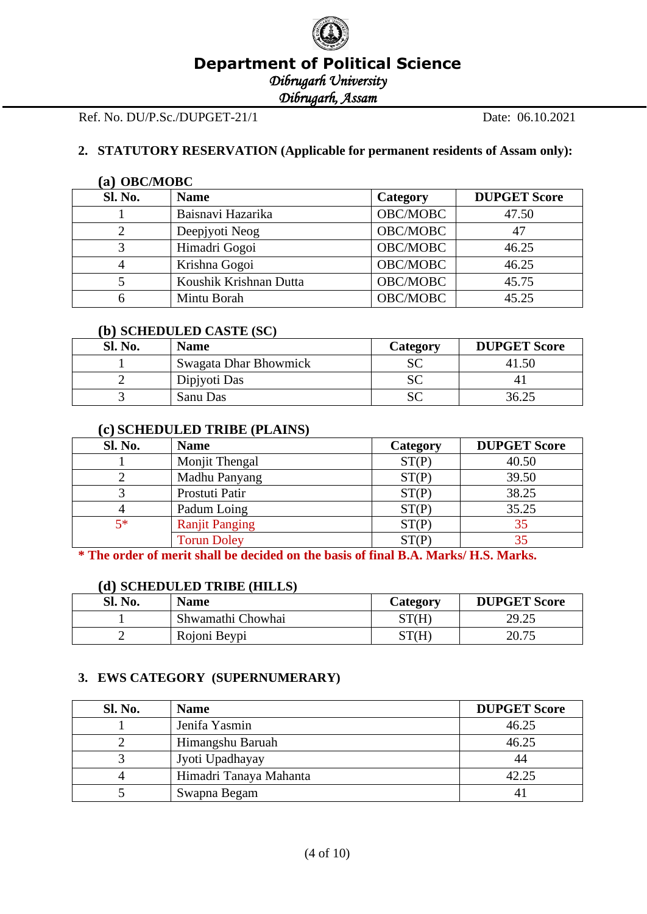

*Dibrugarh University* 

*Dibrugarh, Assam* 

Ref. No. DU/P.Sc./DUPGET-21/1 Date: 06.10.2021

# **2. STATUTORY RESERVATION (Applicable for permanent residents of Assam only):**

### **(a) OBC/MOBC**

| <b>Sl. No.</b> | <b>Name</b>            | Category | <b>DUPGET Score</b> |
|----------------|------------------------|----------|---------------------|
|                | Baisnavi Hazarika      | OBC/MOBC | 47.50               |
|                | Deepjyoti Neog         | OBC/MOBC | 47                  |
|                | Himadri Gogoi          | OBC/MOBC | 46.25               |
|                | Krishna Gogoi          | OBC/MOBC | 46.25               |
|                | Koushik Krishnan Dutta | OBC/MOBC | 45.75               |
|                | Mintu Borah            | OBC/MOBC | 45.25               |

### **(b) SCHEDULED CASTE (SC)**

| <b>Sl. No.</b> | <b>Name</b>           | Category  | <b>DUPGET Score</b> |
|----------------|-----------------------|-----------|---------------------|
|                | Swagata Dhar Bhowmick | <b>SC</b> | 41.50               |
|                | Dipjyoti Das          | <b>SC</b> |                     |
|                | Sanu Das              | SС        | 36.25               |

### **(c) SCHEDULED TRIBE (PLAINS)**

| <b>Sl. No.</b> | <b>Name</b>           | <b>Category</b> | <b>DUPGET Score</b> |
|----------------|-----------------------|-----------------|---------------------|
|                | Monjit Thengal        | ST(P)           | 40.50               |
|                | Madhu Panyang         | ST(P)           | 39.50               |
|                | Prostuti Patir        | ST(P)           | 38.25               |
|                | Padum Loing           | ST(P)           | 35.25               |
| $5*$           | <b>Ranjit Panging</b> | ST(P)           | 35                  |
|                | <b>Torun Doley</b>    | ST(P)           |                     |

**\* The order of merit shall be decided on the basis of final B.A. Marks/ H.S. Marks.** 

### **(d) SCHEDULED TRIBE (HILLS)**

| Sl. No. | <b>Name</b>       | <b>Category</b> | <b>DUPGET Score</b> |
|---------|-------------------|-----------------|---------------------|
|         | Shwamathi Chowhai | ST(H)           | 29.25               |
|         | Rojoni Beypi      | ST(H)           | 20.75               |

### **3. EWS CATEGORY (SUPERNUMERARY)**

| <b>Sl. No.</b> | <b>Name</b>            | <b>DUPGET Score</b> |
|----------------|------------------------|---------------------|
|                | Jenifa Yasmin          | 46.25               |
|                | Himangshu Baruah       | 46.25               |
|                | Jyoti Upadhayay        |                     |
|                | Himadri Tanaya Mahanta | 42.25               |
|                | Swapna Begam           |                     |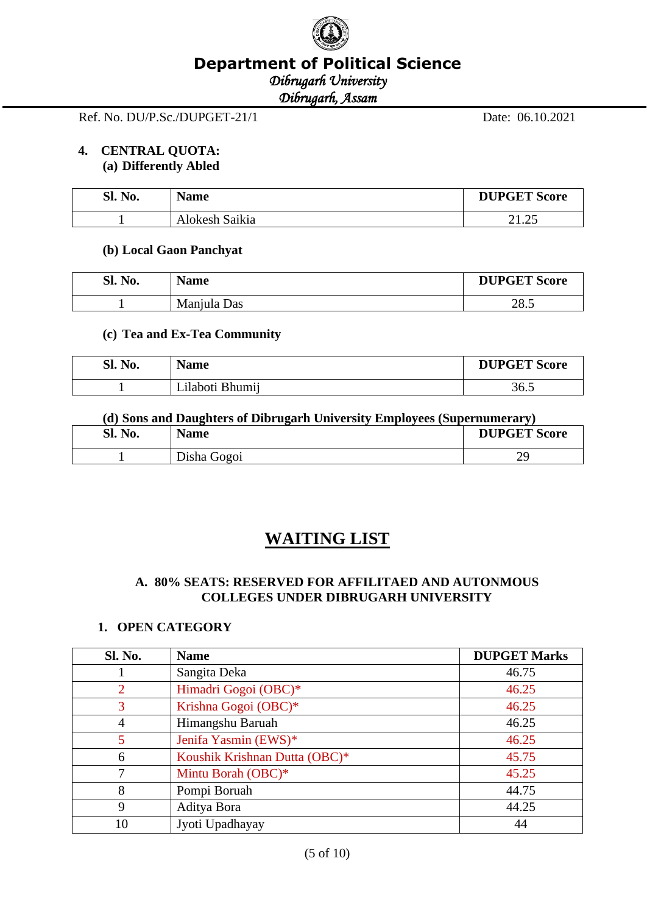

*Dibrugarh University* 

*Dibrugarh, Assam* 

Ref. No. DU/P.Sc./DUPGET-21/1 Date: 06.10.2021

### **4. CENTRAL QUOTA: (a) Differently Abled**

| C1<br>Sl. No. | <b>Name</b>    | <b>DUPGET Score</b> |
|---------------|----------------|---------------------|
|               | Alokesh Saikia | າ1 າ<<br>41.4J      |

### **(b) Local Gaon Panchyat**

| Sl. No. | Name        | <b>DUPGET Score</b> |
|---------|-------------|---------------------|
|         | Manjula Das | າວ<br>20.J          |

### **(c) Tea and Ex-Tea Community**

| <b>Sl. No.</b> | <b>Name</b>                        | <b>DUPGET Score</b> |
|----------------|------------------------------------|---------------------|
|                | $\cdot$ $\cdot$<br>Lilaboti Bhumij | 36.5                |

### **(d) Sons and Daughters of Dibrugarh University Employees (Supernumerary)**

| Sl. No. | Name        | <b>DUPGET Score</b> |
|---------|-------------|---------------------|
|         | Disha Gogoi | ٦c<br>ر ب           |

# **WAITING LIST**

### **A. 80% SEATS: RESERVED FOR AFFILITAED AND AUTONMOUS COLLEGES UNDER DIBRUGARH UNIVERSITY**

### **1. OPEN CATEGORY**

| Sl. No. | <b>Name</b>                   | <b>DUPGET Marks</b> |
|---------|-------------------------------|---------------------|
|         | Sangita Deka                  | 46.75               |
| 2       | Himadri Gogoi (OBC)*          | 46.25               |
| 3       | Krishna Gogoi (OBC)*          | 46.25               |
| 4       | Himangshu Baruah              | 46.25               |
|         | Jenifa Yasmin (EWS)*          | 46.25               |
| 6       | Koushik Krishnan Dutta (OBC)* | 45.75               |
| 7       | Mintu Borah (OBC)*            | 45.25               |
| 8       | Pompi Boruah                  | 44.75               |
| 9       | Aditya Bora                   | 44.25               |
| 10      | Jyoti Upadhayay               | 44                  |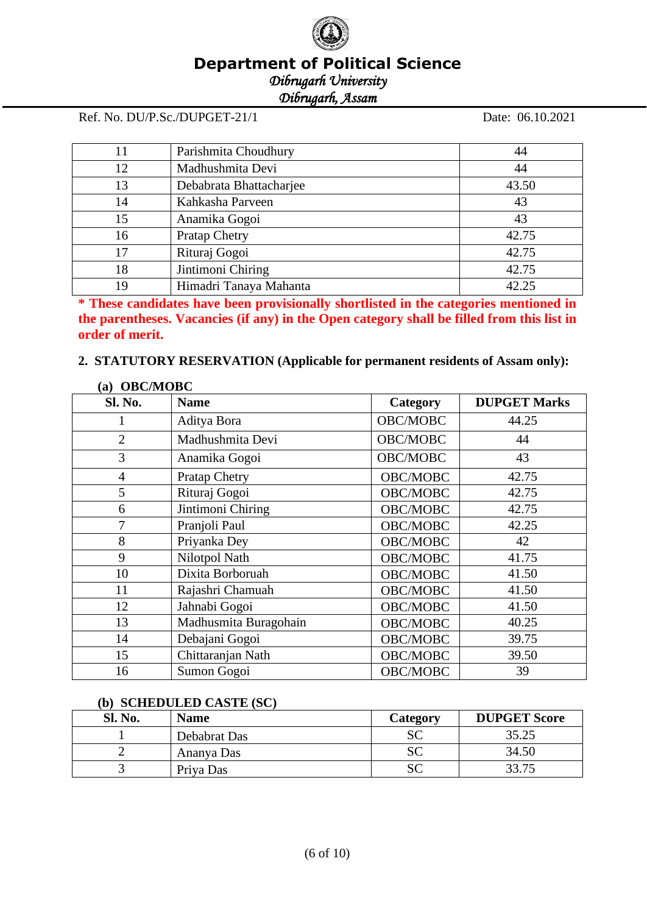

*Dibrugarh University* 

*Dibrugarh, Assam* 

Ref. No. DU/P.Sc./DUPGET-21/1 Date: 06.10.2021

|     | Parishmita Choudhury    |       |
|-----|-------------------------|-------|
| 12. | Madhushmita Devi        | 44    |
| 13  | Debabrata Bhattacharjee | 43.50 |
| 14  | Kahkasha Parveen        | 43    |
| 15  | Anamika Gogoi           | 43    |
| 16  | <b>Pratap Chetry</b>    | 42.75 |
| 17  | Rituraj Gogoi           | 42.75 |
| 18  | Jintimoni Chiring       | 42.75 |
| 19  | Himadri Tanaya Mahanta  | 42.25 |

**\* These candidates have been provisionally shortlisted in the categories mentioned in the parentheses. Vacancies (if any) in the Open category shall be filled from this list in order of merit.**

### **2. STATUTORY RESERVATION (Applicable for permanent residents of Assam only):**

| <b>OBC/MOBC</b><br>(a) |                       |          |                     |
|------------------------|-----------------------|----------|---------------------|
| <b>Sl. No.</b>         | <b>Name</b>           | Category | <b>DUPGET Marks</b> |
|                        | Aditya Bora           | OBC/MOBC | 44.25               |
| $\overline{2}$         | Madhushmita Devi      | OBC/MOBC | 44                  |
| 3                      | Anamika Gogoi         | OBC/MOBC | 43                  |
| $\overline{4}$         | <b>Pratap Chetry</b>  | OBC/MOBC | 42.75               |
| 5                      | Rituraj Gogoi         | OBC/MOBC | 42.75               |
| 6                      | Jintimoni Chiring     | OBC/MOBC | 42.75               |
| 7                      | Pranjoli Paul         | OBC/MOBC | 42.25               |
| 8                      | Priyanka Dey          | OBC/MOBC | 42                  |
| 9                      | Nilotpol Nath         | OBC/MOBC | 41.75               |
| 10                     | Dixita Borboruah      | OBC/MOBC | 41.50               |
| 11                     | Rajashri Chamuah      | OBC/MOBC | 41.50               |
| 12                     | Jahnabi Gogoi         | OBC/MOBC | 41.50               |
| 13                     | Madhusmita Buragohain | OBC/MOBC | 40.25               |
| 14                     | Debajani Gogoi        | OBC/MOBC | 39.75               |
| 15                     | Chittaranjan Nath     | OBC/MOBC | 39.50               |
| 16                     | Sumon Gogoi           | OBC/MOBC | 39                  |

#### **(b) SCHEDULED CASTE (SC)**

| <b>Sl. No.</b> | <b>Name</b>  | Category  | <b>DUPGET Score</b> |
|----------------|--------------|-----------|---------------------|
|                | Debabrat Das | <b>SC</b> | 35.25               |
|                | Ananya Das   | <b>SC</b> | 34.50               |
|                | Priva Das    | <b>SC</b> | 33.75               |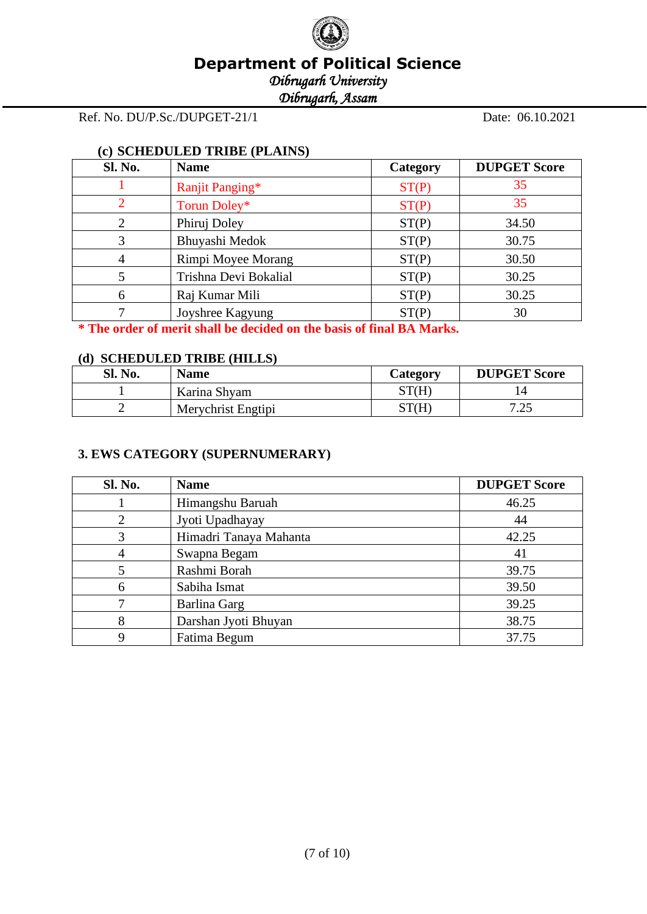

*Dibrugarh University* 

*Dibrugarh, Assam* 

Ref. No. DU/P.Sc./DUPGET-21/1 Date: 06.10.2021

# **(c) SCHEDULED TRIBE (PLAINS)**

| <b>Sl. No.</b> | <b>Name</b>           | Category | <b>DUPGET Score</b> |
|----------------|-----------------------|----------|---------------------|
|                | Ranjit Panging*       | ST(P)    | 35                  |
| $\mathcal{D}$  | Torun Doley*          | ST(P)    | 35                  |
| 2              | Phiruj Doley          | ST(P)    | 34.50               |
| 3              | Bhuyashi Medok        | ST(P)    | 30.75               |
| $\overline{4}$ | Rimpi Moyee Morang    | ST(P)    | 30.50               |
| 5              | Trishna Devi Bokalial | ST(P)    | 30.25               |
| 6              | Raj Kumar Mili        | ST(P)    | 30.25               |
|                | Joyshree Kagyung      | ST(P)    | 30                  |

**\* The order of merit shall be decided on the basis of final BA Marks.**

### **(d) SCHEDULED TRIBE (HILLS)**

| Sl. No. | <b>Name</b>        | <b>Category</b> | <b>DUPGET Score</b> |
|---------|--------------------|-----------------|---------------------|
|         | Karina Shyam       | ST(H)           |                     |
|         | Merychrist Engtipi | ST(H)           | 7 75<br>ل∠.         |

### **3. EWS CATEGORY (SUPERNUMERARY)**

| Sl. No. | <b>Name</b>            | <b>DUPGET Score</b> |
|---------|------------------------|---------------------|
|         | Himangshu Baruah       | 46.25               |
|         | Jyoti Upadhayay        | 44                  |
| 3       | Himadri Tanaya Mahanta | 42.25               |
| 4       | Swapna Begam           | 41                  |
|         | Rashmi Borah           | 39.75               |
| 6       | Sabiha Ismat           | 39.50               |
|         | Barlina Garg           | 39.25               |
| 8       | Darshan Jyoti Bhuyan   | 38.75               |
|         | Fatima Begum           | 37.75               |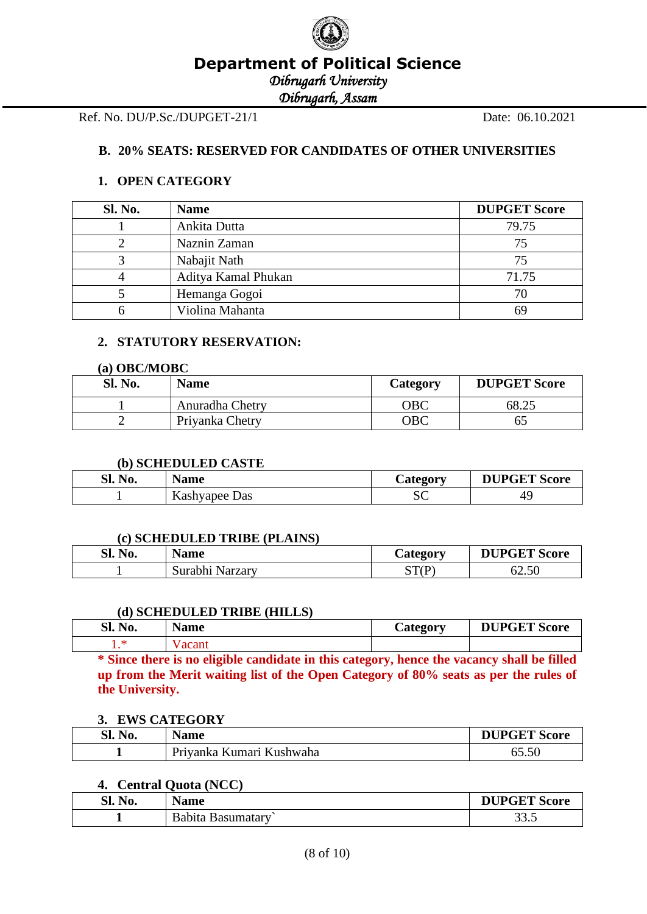

*Dibrugarh University* 

*Dibrugarh, Assam* 

Ref. No. DU/P.Sc./DUPGET-21/1 Date: 06.10.2021

## **B. 20% SEATS: RESERVED FOR CANDIDATES OF OTHER UNIVERSITIES**

## **1. OPEN CATEGORY**

| <b>Sl. No.</b> | <b>Name</b>         | <b>DUPGET Score</b> |
|----------------|---------------------|---------------------|
|                | Ankita Dutta        | 79.75               |
|                | Naznin Zaman        | 75                  |
|                | Nabajit Nath        | 75                  |
|                | Aditya Kamal Phukan | 71.75               |
|                | Hemanga Gogoi       |                     |
|                | Violina Mahanta     |                     |

### **2. STATUTORY RESERVATION:**

### **(a) OBC/MOBC**

| <b>Sl. No.</b> | <b>Name</b>     | Category | <b>DUPGET Score</b> |
|----------------|-----------------|----------|---------------------|
|                | Anuradha Chetry | OBC      | 68.25               |
|                | Priyanka Chetry | OBC      |                     |

### **(b) SCHEDULED CASTE**

| <b>Sl. No.</b> | <b>Name</b>   | <i>Category</i> | <b>DUPGET Score</b> |
|----------------|---------------|-----------------|---------------------|
|                | Kashyapee Das | υC              | ΔC                  |

### **(c) SCHEDULED TRIBE (PLAINS)**

| Sl. No. | - -<br><b>Name</b> | $\mathcal{L}$ ategory | <b>DUPGET Score</b> |
|---------|--------------------|-----------------------|---------------------|
|         | Surabhi Narzary    | CT/D`<br>ັ<br>. .     | 62.50               |

### **(d) SCHEDULED TRIBE (HILLS)**

| Sl. No. | Name  | <b>Category</b> | <b>DUPGET Score</b> |
|---------|-------|-----------------|---------------------|
|         | acant |                 |                     |

**\* Since there is no eligible candidate in this category, hence the vacancy shall be filled up from the Merit waiting list of the Open Category of 80% seats as per the rules of the University.** 

### **3. EWS CATEGORY**

| <b>Sl. No.</b> | <b>Name</b>              | <b>DUPGET Score</b> |
|----------------|--------------------------|---------------------|
|                | Priyanka Kumari Kushwaha | 65.50               |

### **4. Central Quota (NCC)**

| No.<br>Sl. | √ame                 | <b>DUPGET Score</b> |
|------------|----------------------|---------------------|
|            | Basumatary<br>Babita | ົ<br>33.J           |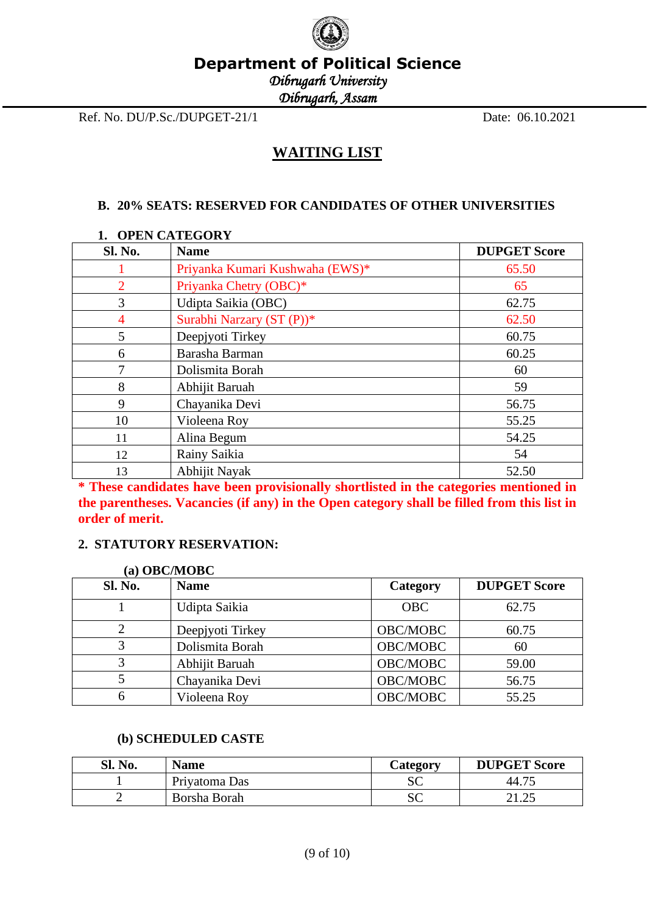

*Dibrugarh University* 

*Dibrugarh, Assam* 

Ref. No. DU/P.Sc./DUPGET-21/1 Date: 06.10.2021

## **WAITING LIST**

### **B. 20% SEATS: RESERVED FOR CANDIDATES OF OTHER UNIVERSITIES**

### **1. OPEN CATEGORY**

| Sl. No.        | <b>Name</b>                     | <b>DUPGET Score</b> |
|----------------|---------------------------------|---------------------|
|                | Priyanka Kumari Kushwaha (EWS)* | 65.50               |
| $\overline{2}$ | Priyanka Chetry (OBC)*          | 65                  |
| 3              | Udipta Saikia (OBC)             | 62.75               |
| 4              | Surabhi Narzary (ST (P))*       | 62.50               |
| 5              | Deepjyoti Tirkey                | 60.75               |
| 6              | Barasha Barman                  | 60.25               |
| 7              | Dolismita Borah                 | 60                  |
| 8              | Abhijit Baruah                  | 59                  |
| 9              | Chayanika Devi                  | 56.75               |
| 10             | Violeena Roy                    | 55.25               |
| 11             | Alina Begum                     | 54.25               |
| 12             | Rainy Saikia                    | 54                  |
| 13             | Abhijit Nayak                   | 52.50               |

**\* These candidates have been provisionally shortlisted in the categories mentioned in the parentheses. Vacancies (if any) in the Open category shall be filled from this list in order of merit.**

### **2. STATUTORY RESERVATION:**

### **(a) OBC/MOBC**

| <b>Sl. No.</b> | <b>Name</b>      | <b>Category</b> | <b>DUPGET Score</b> |
|----------------|------------------|-----------------|---------------------|
|                | Udipta Saikia    | <b>OBC</b>      | 62.75               |
|                | Deepiyoti Tirkey | OBC/MOBC        | 60.75               |
|                | Dolismita Borah  | OBC/MOBC        | 60                  |
|                | Abhijit Baruah   | OBC/MOBC        | 59.00               |
|                | Chayanika Devi   | OBC/MOBC        | 56.75               |
| h              | Violeena Roy     | OBC/MOBC        | 55.25               |

### **(b) SCHEDULED CASTE**

| $SL_1$<br>No. | <b>Name</b>   | Category   | <b>DUPGET Score</b> |
|---------------|---------------|------------|---------------------|
|               | Priyatoma Das | cσ<br>باد  | 44.75               |
|               | Borsha Borah  | C O<br>باد | າ 1 າ 2             |